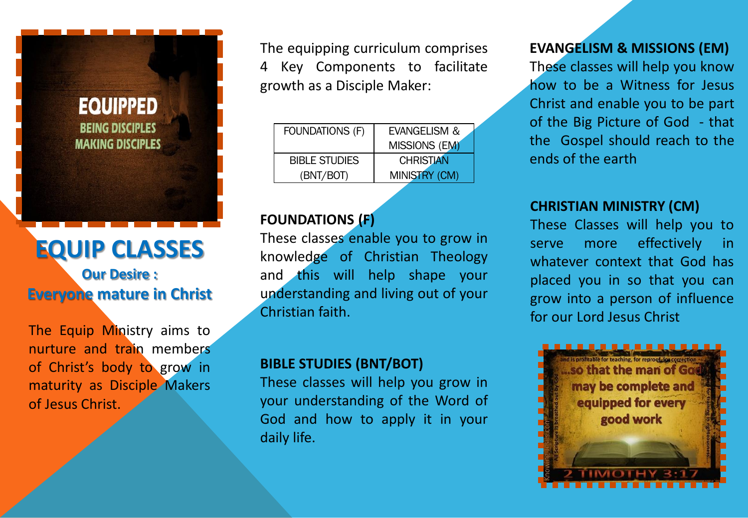

## **Our Desire : Everyone mature in Christ**

The Equip Ministry aims to nurture and train members of Christ's body to grow in maturity as Disciple Makers of Jesus Christ.

The equipping curriculum comprises 4 Key Components to facilitate growth as a Disciple Maker:

| <b>FOUNDATIONS (F)</b> | EVANGELISM &         |
|------------------------|----------------------|
|                        | MISSIONS (EM)        |
| <b>BIBLE STUDIES</b>   | <b>CHRISTIAN</b>     |
| (BNT/BOT)              | <b>MINISTRY (CM)</b> |

## **FOUNDATIONS (F)**

These classes enable you to grow in knowledge of Christian Theology and this will help shape your understanding and living out of your Christian faith.

### **BIBLE STUDIES (BNT/BOT)**

These classes will help you grow in your understanding of the Word of God and how to apply it in your daily life.

## **EVANGELISM & MISSIONS (EM)**

These classes will help you know how to be a Witness for Jesus Christ and enable you to be part of the Big Picture of God - that the Gospel should reach to the ends of the earth

#### **CHRISTIAN MINISTRY (CM)**

These Classes will help you to serve more effectively in whatever context that God has placed you in so that you can grow into a person of influence for our Lord Jesus Christ